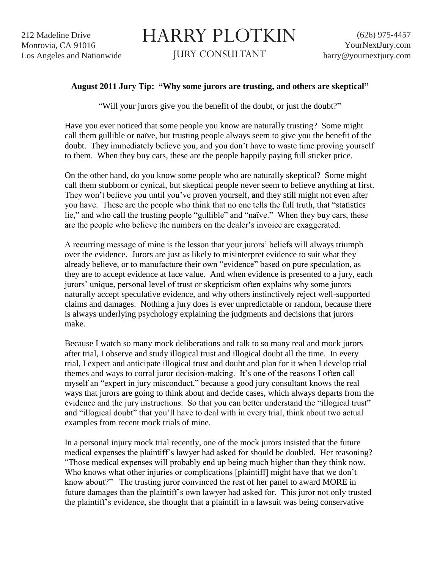HARRY PLOTKIN

JURY CONSULTANT

## **August 2011 Jury Tip: "Why some jurors are trusting, and others are skeptical"**

"Will your jurors give you the benefit of the doubt, or just the doubt?"

Have you ever noticed that some people you know are naturally trusting? Some might call them gullible or naïve, but trusting people always seem to give you the benefit of the doubt. They immediately believe you, and you don"t have to waste time proving yourself to them. When they buy cars, these are the people happily paying full sticker price.

On the other hand, do you know some people who are naturally skeptical? Some might call them stubborn or cynical, but skeptical people never seem to believe anything at first. They won't believe you until you've proven yourself, and they still might not even after you have. These are the people who think that no one tells the full truth, that "statistics lie," and who call the trusting people "gullible" and "naïve." When they buy cars, these are the people who believe the numbers on the dealer"s invoice are exaggerated.

A recurring message of mine is the lesson that your jurors" beliefs will always triumph over the evidence. Jurors are just as likely to misinterpret evidence to suit what they already believe, or to manufacture their own "evidence" based on pure speculation, as they are to accept evidence at face value. And when evidence is presented to a jury, each jurors" unique, personal level of trust or skepticism often explains why some jurors naturally accept speculative evidence, and why others instinctively reject well-supported claims and damages. Nothing a jury does is ever unpredictable or random, because there is always underlying psychology explaining the judgments and decisions that jurors make.

Because I watch so many mock deliberations and talk to so many real and mock jurors after trial, I observe and study illogical trust and illogical doubt all the time. In every trial, I expect and anticipate illogical trust and doubt and plan for it when I develop trial themes and ways to corral juror decision-making. It"s one of the reasons I often call myself an "expert in jury misconduct," because a good jury consultant knows the real ways that jurors are going to think about and decide cases, which always departs from the evidence and the jury instructions. So that you can better understand the "illogical trust" and "illogical doubt" that you"ll have to deal with in every trial, think about two actual examples from recent mock trials of mine.

In a personal injury mock trial recently, one of the mock jurors insisted that the future medical expenses the plaintiff"s lawyer had asked for should be doubled. Her reasoning? "Those medical expenses will probably end up being much higher than they think now. Who knows what other injuries or complications [plaintiff] might have that we don't know about?" The trusting juror convinced the rest of her panel to award MORE in future damages than the plaintiff"s own lawyer had asked for. This juror not only trusted the plaintiff"s evidence, she thought that a plaintiff in a lawsuit was being conservative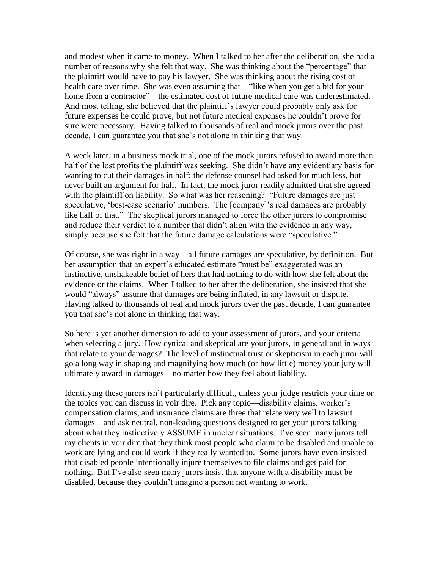and modest when it came to money. When I talked to her after the deliberation, she had a number of reasons why she felt that way. She was thinking about the "percentage" that the plaintiff would have to pay his lawyer. She was thinking about the rising cost of health care over time. She was even assuming that—"like when you get a bid for your home from a contractor"—the estimated cost of future medical care was underestimated. And most telling, she believed that the plaintiff"s lawyer could probably only ask for future expenses he could prove, but not future medical expenses he couldn"t prove for sure were necessary. Having talked to thousands of real and mock jurors over the past decade, I can guarantee you that she's not alone in thinking that way.

A week later, in a business mock trial, one of the mock jurors refused to award more than half of the lost profits the plaintiff was seeking. She didn't have any evidentiary basis for wanting to cut their damages in half; the defense counsel had asked for much less, but never built an argument for half. In fact, the mock juror readily admitted that she agreed with the plaintiff on liability. So what was her reasoning? "Future damages are just speculative, 'best-case scenario' numbers. The [company]'s real damages are probably like half of that." The skeptical jurors managed to force the other jurors to compromise and reduce their verdict to a number that didn't align with the evidence in any way, simply because she felt that the future damage calculations were "speculative."

Of course, she was right in a way—all future damages are speculative, by definition. But her assumption that an expert's educated estimate "must be" exaggerated was an instinctive, unshakeable belief of hers that had nothing to do with how she felt about the evidence or the claims. When I talked to her after the deliberation, she insisted that she would "always" assume that damages are being inflated, in any lawsuit or dispute. Having talked to thousands of real and mock jurors over the past decade, I can guarantee you that she"s not alone in thinking that way.

So here is yet another dimension to add to your assessment of jurors, and your criteria when selecting a jury. How cynical and skeptical are your jurors, in general and in ways that relate to your damages? The level of instinctual trust or skepticism in each juror will go a long way in shaping and magnifying how much (or how little) money your jury will ultimately award in damages—no matter how they feel about liability.

Identifying these jurors isn"t particularly difficult, unless your judge restricts your time or the topics you can discuss in voir dire. Pick any topic—disability claims, worker"s compensation claims, and insurance claims are three that relate very well to lawsuit damages—and ask neutral, non-leading questions designed to get your jurors talking about what they instinctively ASSUME in unclear situations. I"ve seen many jurors tell my clients in voir dire that they think most people who claim to be disabled and unable to work are lying and could work if they really wanted to. Some jurors have even insisted that disabled people intentionally injure themselves to file claims and get paid for nothing. But I've also seen many jurors insist that anyone with a disability must be disabled, because they couldn"t imagine a person not wanting to work.